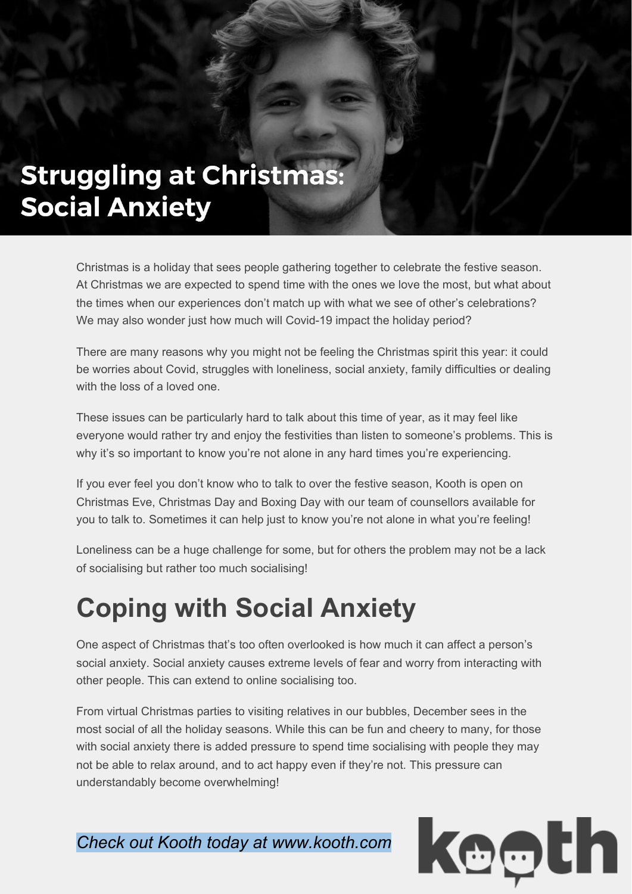## **Struggling at Christmas: Social Anxiety**

Christmas is a holiday that sees people gathering together to celebrate the festive season. At Christmas we are expected to spend time with the ones we love the most, but what about the times when our experiences don't match up with what we see of other's celebrations? We may also wonder just how much will Covid-19 impact the holiday period?

There are many reasons why you might not be feeling the Christmas spirit this year: it could be worries about Covid, struggles with loneliness, social anxiety, family difficulties or dealing with the loss of a loved one.

These issues can be particularly hard to talk about this time of year, as it may feel like everyone would rather try and enjoy the festivities than listen to someone's problems. This is why it's so important to know you're not alone in any hard times you're experiencing.

If you ever feel you don't know who to talk to over the festive season, Kooth is open on Christmas Eve, Christmas Day and Boxing Day with our team of counsellors available for you to talk to. Sometimes it can help just to know you're not alone in what you're feeling!

Loneliness can be a huge challenge for some, but for others the problem may not be a lack of socialising but rather too much socialising!

## **Coping with Social Anxiety**

One aspect of Christmas that's too often overlooked is how much it can affect a person's social anxiety. Social anxiety causes extreme levels of fear and worry from interacting with other people. This can extend to online socialising too.

From virtual Christmas parties to visiting relatives in our bubbles, December sees in the most social of all the holiday seasons. While this can be fun and cheery to many, for those with social anxiety there is added pressure to spend time socialising with people they may not be able to relax around, and to act happy even if they're not. This pressure can understandably become overwhelming!

*Check out Kooth today at www.kooth.com*